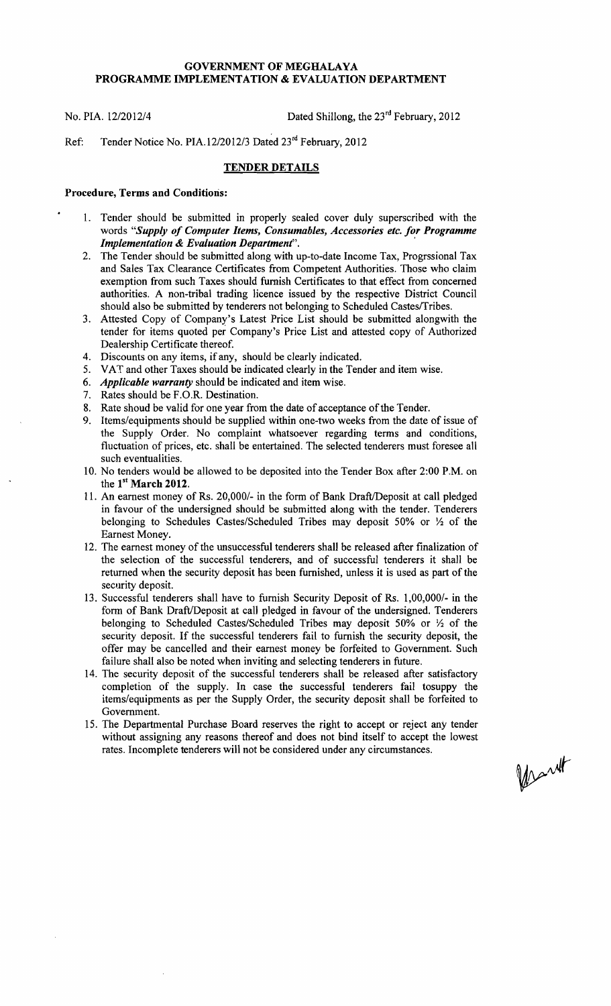## GOVERNMENT OF MEGHALAYA PROGRAMME IMPLEMENTATION & EVALUATION DEPARTMENT

No. PIA. 12/2012/4 Dated Shillong, the 23<sup>rd</sup> February, 2012

Ref: Tender Notice No. PIA. 12/2012/3 Dated 23<sup>rd</sup> February, 2012

## TENDER DETAILS

## Procedure, Terms and Conditions:

- 1. Tender should be submitted in properly sealed cover duly superscribed with the words *"Supply of Computer Items, Consumables, Accessories etc. for Programme Implementation* & *Evaluation Department". '*
- 2. The Tender should be submitted along with up-to-date Income Tax, Progrssional Tax and Sales Tax Clearance Certificates from Competent Authorities. Those who claim exemption from such Taxes should furnish Certificates to that effect from concerned authorities. A non-tribal trading licence issued by the respective District Council should also be submitted by tenderers not belonging to Scheduled Castes/Tribes.
- 3. Attested Copy of Company's Latest Price List should be submitted alongwith the tender for items quoted per Company's Price List and attested copy of Authorized Dealership Certificate thereof.
- 4. Discounts on any items, if any, should be clearly indicated.
- 5. VAT and other Taxes should be indicated clearly in the Tender and item wise.
- *6. Applicable warranty* should be indicated and item wise.
- 7. Rates should be F.O.R. Destination.
- 8. Rate shoud be valid for one year from the date of acceptance of the Tender.
- 9. Items/equipments should be supplied within one-two weeks from the date of issue of the Supply Order. No complaint whatsoever regarding terms and conditions, fluctuation of prices, etc. shall be entertained. The selected tenderers must foresee all such eventualities.
- 10. No tenders would be allowed to be deposited into the Tender Box after 2:00 P.M. on the 1<sup>st</sup> March 2012.
- 11. An earnest money of Rs. 20,000/- in the form of Bank Draft/Deposit at call pledged in favour of the undersigned should be submitted along with the tender. Tenderers belonging to Schedules Castes/Scheduled Tribes may deposit 50% or  $\frac{1}{2}$  of the Earnest Money.
- 12. The earnest money of the unsuccessful tenderers shall be released after finalization of the selection of the successful tenderers, and of successful tenderers it shall be returned when the security deposit has been furnished, unless it is used as part of the security deposit.
- 13. Successful tenderers shall have to furnish Security Deposit of Rs. 1,00,000/- in the form of Bank Draft/Deposit at call pledged in favour of the undersigned. Tenderers belonging to Scheduled Castes/Scheduled Tribes may deposit 50% or  $\frac{1}{2}$  of the security deposit. If the successful tenderers fail to furnish the security deposit, the offer may be cancelled and their earnest money be forfeited to Government. Such failure shall also be noted when inviting and selecting tenderers in future.
- 14. The security deposit of the successful tenderers shall be released after satisfactory completion of the supply. In case the successful tenderers fail tosuppy the items/equipments as per the Supply Order, the security deposit shall be forfeited to Government.
- 15. The Departmental Purchase Board reserves the right to accept or reject any tender without assigning any reasons thereof and does not bind itself to accept the lowest rates. Incomplete tenderers will not be considered under any circumstances.

Mart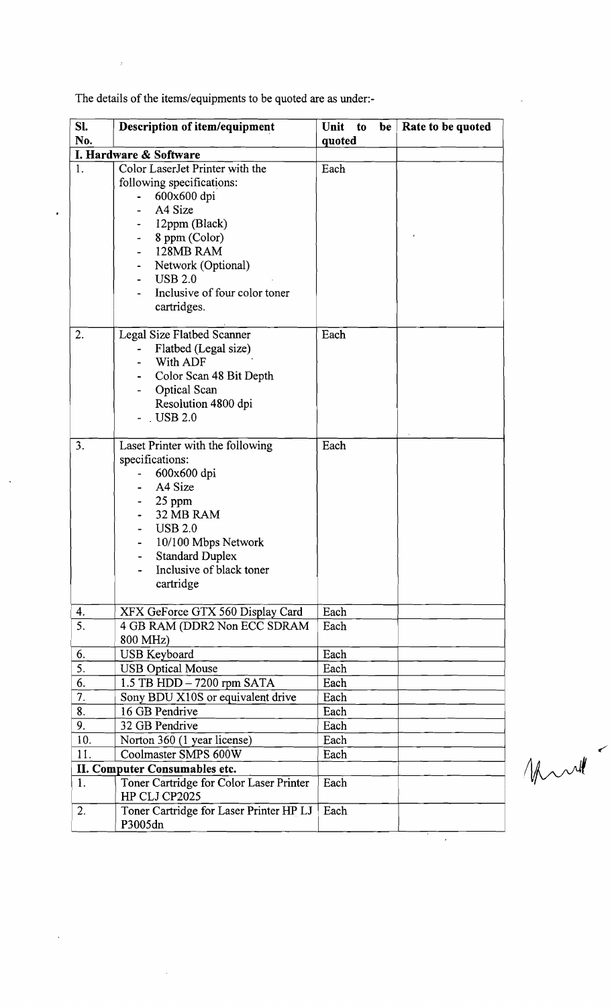| SI.<br>No.                    | Description of item/equipment                                                                                                                                                                                                 | Unit<br>$\mathbf{t}$<br>be<br>quoted | Rate to be quoted |  |  |
|-------------------------------|-------------------------------------------------------------------------------------------------------------------------------------------------------------------------------------------------------------------------------|--------------------------------------|-------------------|--|--|
|                               | I. Hardware & Software                                                                                                                                                                                                        |                                      |                   |  |  |
| 1.                            | Color LaserJet Printer with the<br>following specifications:<br>600x600 dpi<br>A4 Size<br>12ppm (Black)<br>8 ppm (Color)<br>128MB RAM<br>Network (Optional)<br><b>USB 2.0</b><br>Inclusive of four color toner<br>cartridges. | Each                                 |                   |  |  |
| 2.                            | Legal Size Flatbed Scanner<br>Flatbed (Legal size)<br>With ADF<br>Color Scan 48 Bit Depth<br>Optical Scan<br>Resolution 4800 dpi<br>$.$ USB 2.0                                                                               | Each                                 |                   |  |  |
| 3.                            | Laset Printer with the following<br>specifications:<br>600x600 dpi<br>A4 Size<br>25 ppm<br>32 MB RAM<br><b>USB 2.0</b><br>10/100 Mbps Network<br><b>Standard Duplex</b><br>Inclusive of black toner<br>cartridge              | Each                                 |                   |  |  |
| 4.                            | XFX GeForce GTX 560 Display Card                                                                                                                                                                                              | Each                                 |                   |  |  |
| 5.                            | 4 GB RAM (DDR2 Non ECC SDRAM<br>800 MHz)                                                                                                                                                                                      | Each                                 |                   |  |  |
| 6.                            | <b>USB</b> Keyboard                                                                                                                                                                                                           | Each                                 |                   |  |  |
| 5.                            | <b>USB Optical Mouse</b>                                                                                                                                                                                                      | Each                                 |                   |  |  |
| 6.                            | 1.5 TB HDD - 7200 rpm SATA                                                                                                                                                                                                    | Each                                 |                   |  |  |
| 7.                            | Sony BDU X10S or equivalent drive                                                                                                                                                                                             | Each                                 |                   |  |  |
| 8.                            | 16 GB Pendrive                                                                                                                                                                                                                | Each                                 |                   |  |  |
| 9.                            | 32 GB Pendrive                                                                                                                                                                                                                | Each                                 |                   |  |  |
| 10.                           | Norton 360 (1 year license)                                                                                                                                                                                                   | Each                                 |                   |  |  |
| 11.                           | Coolmaster SMPS 600W                                                                                                                                                                                                          | Each                                 |                   |  |  |
| II. Computer Consumables etc. |                                                                                                                                                                                                                               |                                      |                   |  |  |
| 1.                            | Toner Cartridge for Color Laser Printer<br>HP CLJ CP2025                                                                                                                                                                      | Each                                 |                   |  |  |
| 2.                            | Toner Cartridge for Laser Printer HP LJ<br>P3005dn                                                                                                                                                                            | Each                                 |                   |  |  |

The details of the items/equipments to be quoted are as under:-

 $\sim t^2$ 

 $\bullet$ 

 $\ddot{\phantom{a}}$ 

Marte

 $\hat{\mathcal{L}}$